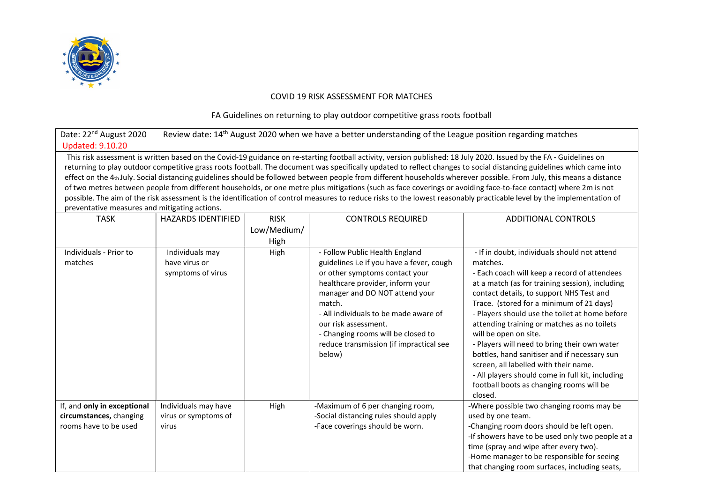

## COVID 19 RISK ASSESSMENT FOR MATCHES

## FA Guidelines on returning to play outdoor competitive grass roots football

Date: 22<sup>nd</sup> August 2020 Review date: 14<sup>th</sup> August 2020 when we have a better understanding of the League position regarding matches Updated: 9.10.20

This risk assessment is written based on the Covid-19 guidance on re-starting football activity, version published: 18 July 2020. Issued by the FA - Guidelines on returning to play outdoor competitive grass roots football. The document was specifically updated to reflect changes to social distancing guidelines which came into effect on the 4th July. Social distancing guidelines should be followed between people from different households wherever possible. From July, this means a distance of two metres between people from different households, or one metre plus mitigations (such as face coverings or avoiding face-to-face contact) where 2m is not possible. The aim of the risk assessment is the identification of control measures to reduce risks to the lowest reasonably practicable level by the implementation of preventative measures and mitigating actions.

| <b>TASK</b>                                            | <b>HAZARDS IDENTIFIED</b>                             | <b>RISK</b> | <b>CONTROLS REQUIRED</b>                                                                                                                                                                                                                                                                                                                                  | <b>ADDITIONAL CONTROLS</b>                                                                                                                                                                                                                                                                                                                                                                                                                                                                                                                                                                                             |
|--------------------------------------------------------|-------------------------------------------------------|-------------|-----------------------------------------------------------------------------------------------------------------------------------------------------------------------------------------------------------------------------------------------------------------------------------------------------------------------------------------------------------|------------------------------------------------------------------------------------------------------------------------------------------------------------------------------------------------------------------------------------------------------------------------------------------------------------------------------------------------------------------------------------------------------------------------------------------------------------------------------------------------------------------------------------------------------------------------------------------------------------------------|
|                                                        |                                                       | Low/Medium/ |                                                                                                                                                                                                                                                                                                                                                           |                                                                                                                                                                                                                                                                                                                                                                                                                                                                                                                                                                                                                        |
|                                                        |                                                       | High        |                                                                                                                                                                                                                                                                                                                                                           |                                                                                                                                                                                                                                                                                                                                                                                                                                                                                                                                                                                                                        |
| Individuals - Prior to<br>matches                      | Individuals may<br>have virus or<br>symptoms of virus | High        | - Follow Public Health England<br>guidelines i.e if you have a fever, cough<br>or other symptoms contact your<br>healthcare provider, inform your<br>manager and DO NOT attend your<br>match.<br>- All individuals to be made aware of<br>our risk assessment.<br>- Changing rooms will be closed to<br>reduce transmission (if impractical see<br>below) | - If in doubt, individuals should not attend<br>matches.<br>- Each coach will keep a record of attendees<br>at a match (as for training session), including<br>contact details, to support NHS Test and<br>Trace. (stored for a minimum of 21 days)<br>- Players should use the toilet at home before<br>attending training or matches as no toilets<br>will be open on site.<br>- Players will need to bring their own water<br>bottles, hand sanitiser and if necessary sun<br>screen, all labelled with their name.<br>- All players should come in full kit, including<br>football boots as changing rooms will be |
|                                                        |                                                       |             |                                                                                                                                                                                                                                                                                                                                                           | closed.                                                                                                                                                                                                                                                                                                                                                                                                                                                                                                                                                                                                                |
| If, and only in exceptional<br>circumstances, changing | Individuals may have<br>virus or symptoms of          | High        | -Maximum of 6 per changing room,<br>-Social distancing rules should apply                                                                                                                                                                                                                                                                                 | -Where possible two changing rooms may be<br>used by one team.                                                                                                                                                                                                                                                                                                                                                                                                                                                                                                                                                         |
| rooms have to be used                                  | virus                                                 |             | -Face coverings should be worn.                                                                                                                                                                                                                                                                                                                           | -Changing room doors should be left open.<br>-If showers have to be used only two people at a<br>time (spray and wipe after every two).<br>-Home manager to be responsible for seeing<br>that changing room surfaces, including seats,                                                                                                                                                                                                                                                                                                                                                                                 |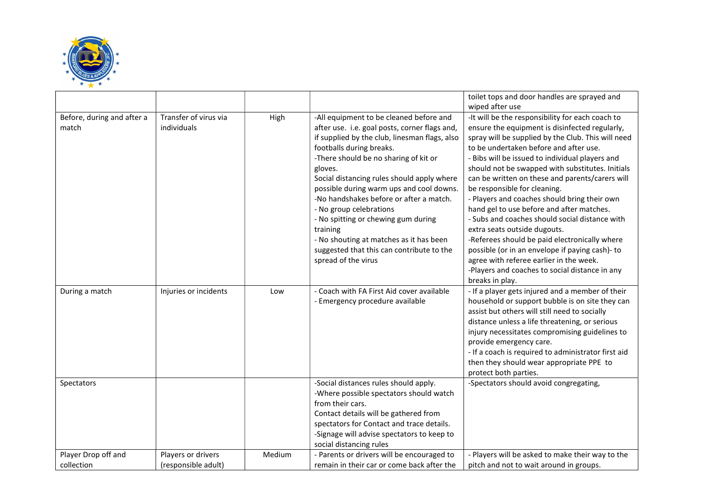

|                            |                       |        |                                               | toilet tops and door handles are sprayed and        |
|----------------------------|-----------------------|--------|-----------------------------------------------|-----------------------------------------------------|
|                            |                       |        |                                               | wiped after use                                     |
| Before, during and after a | Transfer of virus via | High   | -All equipment to be cleaned before and       | -It will be the responsibility for each coach to    |
| match                      | individuals           |        | after use. i.e. goal posts, corner flags and, | ensure the equipment is disinfected regularly,      |
|                            |                       |        | if supplied by the club, linesman flags, also | spray will be supplied by the Club. This will need  |
|                            |                       |        | footballs during breaks.                      | to be undertaken before and after use.              |
|                            |                       |        | -There should be no sharing of kit or         | - Bibs will be issued to individual players and     |
|                            |                       |        | gloves.                                       | should not be swapped with substitutes. Initials    |
|                            |                       |        | Social distancing rules should apply where    | can be written on these and parents/carers will     |
|                            |                       |        | possible during warm ups and cool downs.      | be responsible for cleaning.                        |
|                            |                       |        | -No handshakes before or after a match.       | - Players and coaches should bring their own        |
|                            |                       |        | - No group celebrations                       | hand gel to use before and after matches.           |
|                            |                       |        | - No spitting or chewing gum during           | - Subs and coaches should social distance with      |
|                            |                       |        | training                                      | extra seats outside dugouts.                        |
|                            |                       |        | - No shouting at matches as it has been       | -Referees should be paid electronically where       |
|                            |                       |        | suggested that this can contribute to the     | possible (or in an envelope if paying cash)- to     |
|                            |                       |        | spread of the virus                           | agree with referee earlier in the week.             |
|                            |                       |        |                                               | -Players and coaches to social distance in any      |
|                            |                       |        |                                               | breaks in play.                                     |
| During a match             | Injuries or incidents | Low    | - Coach with FA First Aid cover available     | - If a player gets injured and a member of their    |
|                            |                       |        | - Emergency procedure available               | household or support bubble is on site they can     |
|                            |                       |        |                                               | assist but others will still need to socially       |
|                            |                       |        |                                               | distance unless a life threatening, or serious      |
|                            |                       |        |                                               | injury necessitates compromising guidelines to      |
|                            |                       |        |                                               | provide emergency care.                             |
|                            |                       |        |                                               | - If a coach is required to administrator first aid |
|                            |                       |        |                                               | then they should wear appropriate PPE to            |
|                            |                       |        |                                               | protect both parties.                               |
| Spectators                 |                       |        | -Social distances rules should apply.         | -Spectators should avoid congregating,              |
|                            |                       |        | -Where possible spectators should watch       |                                                     |
|                            |                       |        | from their cars.                              |                                                     |
|                            |                       |        | Contact details will be gathered from         |                                                     |
|                            |                       |        | spectators for Contact and trace details.     |                                                     |
|                            |                       |        | -Signage will advise spectators to keep to    |                                                     |
|                            |                       |        | social distancing rules                       |                                                     |
| Player Drop off and        | Players or drivers    | Medium | - Parents or drivers will be encouraged to    | - Players will be asked to make their way to the    |
| collection                 | (responsible adult)   |        | remain in their car or come back after the    | pitch and not to wait around in groups.             |